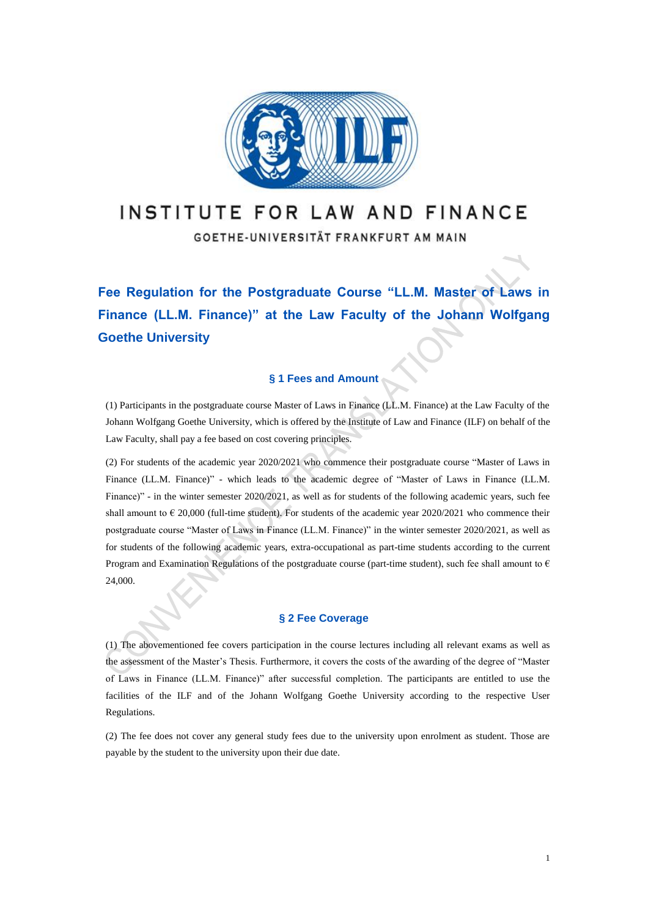

# INSTITUTE FOR LAW AND FINANCE

GOETHE-UNIVERSITÄT FRANKFURT AM MAIN

**Fee Regulation for the Postgraduate Course "LL.M. Master of Laws in Finance (LL.M. Finance)" at the Law Faculty of the Johann Wolfgang Goethe University**

## **§ 1 Fees and Amount**

(1) Participants in the postgraduate course Master of Laws in Finance (LL.M. Finance) at the Law Faculty of the Johann Wolfgang Goethe University, which is offered by the Institute of Law and Finance (ILF) on behalf of the Law Faculty, shall pay a fee based on cost covering principles.

(2) For students of the academic year 2020/2021 who commence their postgraduate course "Master of Laws in Finance (LL.M. Finance)" - which leads to the academic degree of "Master of Laws in Finance (LL.M. Finance)" - in the winter semester 2020/2021, as well as for students of the following academic years, such fee shall amount to  $\epsilon$  20,000 (full-time student). For students of the academic year 2020/2021 who commence their postgraduate course "Master of Laws in Finance (LL.M. Finance)" in the winter semester 2020/2021, as well as for students of the following academic years, extra-occupational as part-time students according to the current Program and Examination Regulations of the postgraduate course (part-time student), such fee shall amount to  $\epsilon$ 24,000.

### **§ 2 Fee Coverage**

(1) The abovementioned fee covers participation in the course lectures including all relevant exams as well as the assessment of the Master's Thesis. Furthermore, it covers the costs of the awarding of the degree of "Master of Laws in Finance (LL.M. Finance)" after successful completion. The participants are entitled to use the facilities of the ILF and of the Johann Wolfgang Goethe University according to the respective User Regulations.

(2) The fee does not cover any general study fees due to the university upon enrolment as student. Those are payable by the student to the university upon their due date.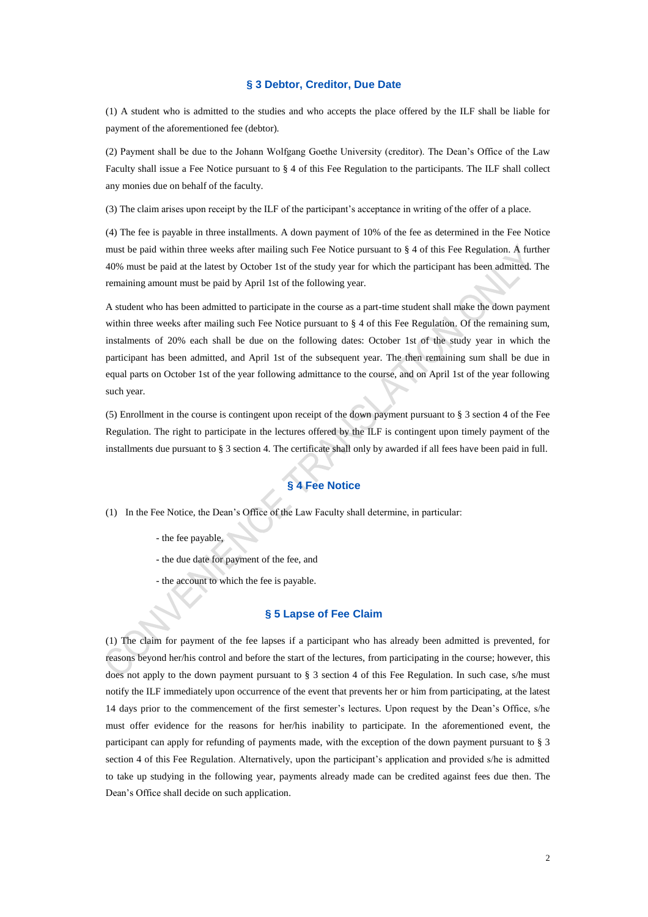#### **§ 3 Debtor, Creditor, Due Date**

(1) A student who is admitted to the studies and who accepts the place offered by the ILF shall be liable for payment of the aforementioned fee (debtor).

(2) Payment shall be due to the Johann Wolfgang Goethe University (creditor). The Dean's Office of the Law Faculty shall issue a Fee Notice pursuant to § 4 of this Fee Regulation to the participants. The ILF shall collect any monies due on behalf of the faculty.

(3) The claim arises upon receipt by the ILF of the participant's acceptance in writing of the offer of a place.

(4) The fee is payable in three installments. A down payment of 10% of the fee as determined in the Fee Notice must be paid within three weeks after mailing such Fee Notice pursuant to § 4 of this Fee Regulation. A further 40% must be paid at the latest by October 1st of the study year for which the participant has been admitted. The remaining amount must be paid by April 1st of the following year.

A student who has been admitted to participate in the course as a part-time student shall make the down payment within three weeks after mailing such Fee Notice pursuant to § 4 of this Fee Regulation. Of the remaining sum, instalments of 20% each shall be due on the following dates: October 1st of the study year in which the participant has been admitted, and April 1st of the subsequent year. The then remaining sum shall be due in equal parts on October 1st of the year following admittance to the course, and on April 1st of the year following such year.

(5) Enrollment in the course is contingent upon receipt of the down payment pursuant to § 3 section 4 of the Fee Regulation. The right to participate in the lectures offered by the ILF is contingent upon timely payment of the installments due pursuant to § 3 section 4. The certificate shall only by awarded if all fees have been paid in full.

# **§ 4 Fee Notice**

- (1) In the Fee Notice, the Dean's Office of the Law Faculty shall determine, in particular:
	- the fee payable,
	- the due date for payment of the fee, and
	- the account to which the fee is payable.

### **§ 5 Lapse of Fee Claim**

(1) The claim for payment of the fee lapses if a participant who has already been admitted is prevented, for reasons beyond her/his control and before the start of the lectures, from participating in the course; however, this does not apply to the down payment pursuant to § 3 section 4 of this Fee Regulation. In such case, s/he must notify the ILF immediately upon occurrence of the event that prevents her or him from participating, at the latest 14 days prior to the commencement of the first semester's lectures. Upon request by the Dean's Office, s/he must offer evidence for the reasons for her/his inability to participate. In the aforementioned event, the participant can apply for refunding of payments made, with the exception of the down payment pursuant to § 3 section 4 of this Fee Regulation. Alternatively, upon the participant's application and provided s/he is admitted to take up studying in the following year, payments already made can be credited against fees due then. The Dean's Office shall decide on such application.